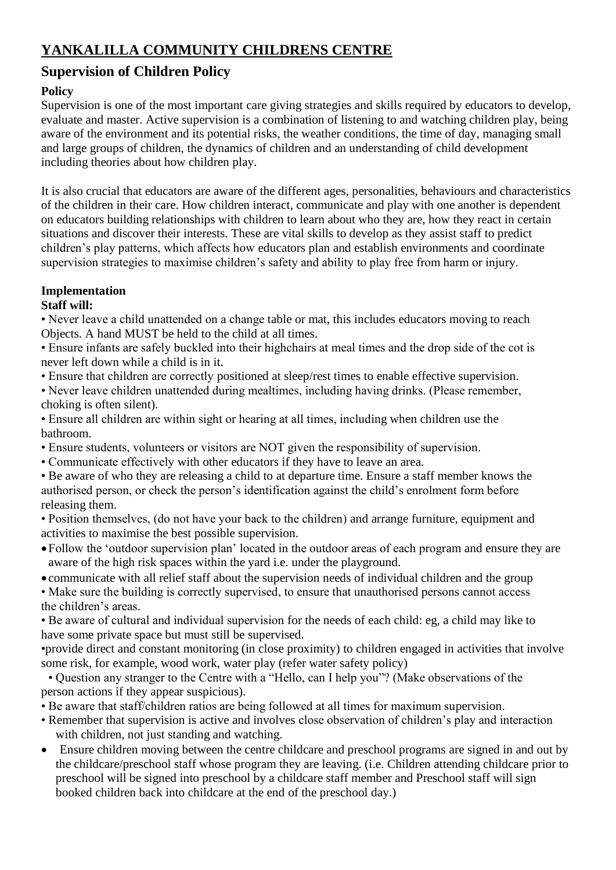# **YANKALILLA COMMUNITY CHILDRENS CENTRE**

## **Supervision of Children Policy**

## **Policy**

Supervision is one of the most important care giving strategies and skills required by educators to develop, evaluate and master. Active supervision is a combination of listening to and watching children play, being aware of the environment and its potential risks, the weather conditions, the time of day, managing small and large groups of children, the dynamics of children and an understanding of child development including theories about how children play.

It is also crucial that educators are aware of the different ages, personalities, behaviours and characteristics of the children in their care. How children interact, communicate and play with one another is dependent on educators building relationships with children to learn about who they are, how they react in certain situations and discover their interests. These are vital skills to develop as they assist staff to predict children's play patterns, which affects how educators plan and establish environments and coordinate supervision strategies to maximise children's safety and ability to play free from harm or injury.

#### **Implementation Staff will:**

• Never leave a child unattended on a change table or mat, this includes educators moving to reach Objects. A hand MUST be held to the child at all times.

• Ensure infants are safely buckled into their highchairs at meal times and the drop side of the cot is never left down while a child is in it.

• Ensure that children are correctly positioned at sleep/rest times to enable effective supervision.

• Never leave children unattended during mealtimes, including having drinks. (Please remember, choking is often silent).

• Ensure all children are within sight or hearing at all times, including when children use the bathroom.

- Ensure students, volunteers or visitors are NOT given the responsibility of supervision.
- Communicate effectively with other educators if they have to leave an area.
- Be aware of who they are releasing a child to at departure time. Ensure a staff member knows the authorised person, or check the person's identification against the child's enrolment form before releasing them.

• Position themselves, (do not have your back to the children) and arrange furniture, equipment and activities to maximise the best possible supervision.

Follow the 'outdoor supervision plan' located in the outdoor areas of each program and ensure they are aware of the high risk spaces within the yard i.e. under the playground.

communicate with all relief staff about the supervision needs of individual children and the group

• Make sure the building is correctly supervised, to ensure that unauthorised persons cannot access the children's areas.

• Be aware of cultural and individual supervision for the needs of each child: eg, a child may like to have some private space but must still be supervised.

•provide direct and constant monitoring (in close proximity) to children engaged in activities that involve some risk, for example, wood work, water play (refer water safety policy)

• Question any stranger to the Centre with a "Hello, can I help you"? (Make observations of the person actions if they appear suspicious).

- Be aware that staff/children ratios are being followed at all times for maximum supervision.
- Remember that supervision is active and involves close observation of children's play and interaction with children, not just standing and watching.
- Ensure children moving between the centre childcare and preschool programs are signed in and out by the childcare/preschool staff whose program they are leaving. (i.e. Children attending childcare prior to preschool will be signed into preschool by a childcare staff member and Preschool staff will sign booked children back into childcare at the end of the preschool day.)